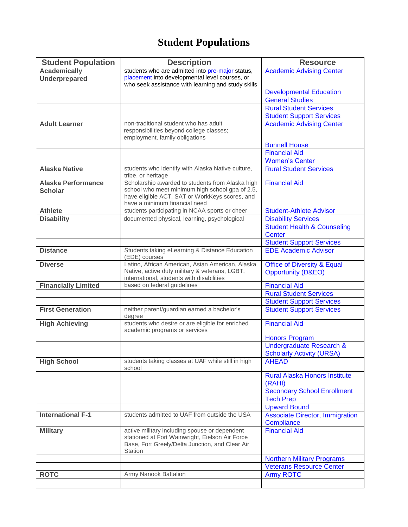## **Student Populations**

| <b>Student Population</b>  | <b>Description</b>                                                                                                                                             | <b>Resource</b>                                      |
|----------------------------|----------------------------------------------------------------------------------------------------------------------------------------------------------------|------------------------------------------------------|
| <b>Academically</b>        | students who are admitted into pre-major status,                                                                                                               | <b>Academic Advising Center</b>                      |
| <b>Underprepared</b>       | placement into developmental level courses, or<br>who seek assistance with learning and study skills                                                           |                                                      |
|                            |                                                                                                                                                                | <b>Developmental Education</b>                       |
|                            |                                                                                                                                                                | <b>General Studies</b>                               |
|                            |                                                                                                                                                                | <b>Rural Student Services</b>                        |
|                            |                                                                                                                                                                | <b>Student Support Services</b>                      |
| <b>Adult Learner</b>       | non-traditional student who has adult                                                                                                                          | <b>Academic Advising Center</b>                      |
|                            | responsibilities beyond college classes;                                                                                                                       |                                                      |
|                            | employment, family obligations                                                                                                                                 |                                                      |
|                            |                                                                                                                                                                | <b>Bunnell House</b><br><b>Financial Aid</b>         |
|                            |                                                                                                                                                                | <b>Women's Center</b>                                |
| <b>Alaska Native</b>       | students who identify with Alaska Native culture,                                                                                                              | <b>Rural Student Services</b>                        |
|                            | tribe, or heritage                                                                                                                                             |                                                      |
| <b>Alaska Performance</b>  | Scholarship awarded to students from Alaska high                                                                                                               | <b>Financial Aid</b>                                 |
| <b>Scholar</b>             | school who meet minimum high school gpa of 2.5,<br>have eligible ACT, SAT or WorkKeys scores, and                                                              |                                                      |
|                            | have a minimum financial need                                                                                                                                  |                                                      |
| <b>Athlete</b>             | students participating in NCAA sports or cheer                                                                                                                 | <b>Student-Athlete Advisor</b>                       |
| <b>Disability</b>          | documented physical, learning, psychological                                                                                                                   | <b>Disability Services</b>                           |
|                            |                                                                                                                                                                | <b>Student Health &amp; Counseling</b>               |
|                            |                                                                                                                                                                | <b>Center</b>                                        |
|                            |                                                                                                                                                                | <b>Student Support Services</b>                      |
| <b>Distance</b>            | Students taking eLearning & Distance Education<br>(EDE) courses                                                                                                | <b>EDE Academic Advisor</b>                          |
| <b>Diverse</b>             | Latino, African American, Asian American, Alaska                                                                                                               | <b>Office of Diversity &amp; Equal</b>               |
|                            | Native, active duty military & veterans, LGBT,<br>international, students with disabilities                                                                    | <b>Opportunity (D&amp;EO)</b>                        |
| <b>Financially Limited</b> | based on federal guidelines                                                                                                                                    | <b>Financial Aid</b>                                 |
|                            |                                                                                                                                                                | <b>Rural Student Services</b>                        |
|                            |                                                                                                                                                                | <b>Student Support Services</b>                      |
| <b>First Generation</b>    | neither parent/guardian earned a bachelor's<br>degree                                                                                                          | <b>Student Support Services</b>                      |
| <b>High Achieving</b>      | students who desire or are eligible for enriched                                                                                                               | <b>Financial Aid</b>                                 |
|                            | academic programs or services                                                                                                                                  |                                                      |
|                            |                                                                                                                                                                | <b>Honors Program</b>                                |
|                            |                                                                                                                                                                | <b>Undergraduate Research &amp;</b>                  |
|                            |                                                                                                                                                                | <b>Scholarly Activity (URSA)</b>                     |
| <b>High School</b>         | students taking classes at UAF while still in high<br>school                                                                                                   | <b>AHEAD</b>                                         |
|                            |                                                                                                                                                                | <b>Rural Alaska Honors Institute</b><br>(RAHI)       |
|                            |                                                                                                                                                                | <b>Secondary School Enrollment</b>                   |
|                            |                                                                                                                                                                | <b>Tech Prep</b>                                     |
|                            |                                                                                                                                                                | <b>Upward Bound</b>                                  |
| <b>International F-1</b>   | students admitted to UAF from outside the USA                                                                                                                  | <b>Associate Director, Immigration</b><br>Compliance |
| <b>Military</b>            | active military including spouse or dependent<br>stationed at Fort Wainwright, Eielson Air Force<br>Base, Fort Greely/Delta Junction, and Clear Air<br>Station | <b>Financial Aid</b>                                 |
|                            |                                                                                                                                                                | <b>Northern Military Programs</b>                    |
|                            |                                                                                                                                                                | <b>Veterans Resource Center</b>                      |
| <b>ROTC</b>                | Army Nanook Battalion                                                                                                                                          | <b>Army ROTC</b>                                     |
|                            |                                                                                                                                                                |                                                      |